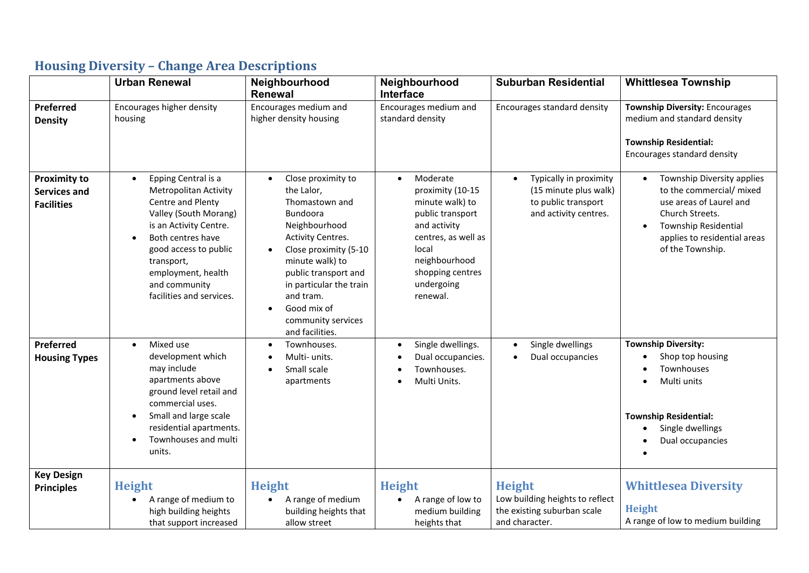|                                                                 | <b>Urban Renewal</b>                                                                                                                                                                                                                                                                 | Neighbourhood<br><b>Renewal</b>                                                                                                                                                                                                                                                              | Neighbourhood<br>Interface                                                                                                                                                                      | <b>Suburban Residential</b>                                                                                  | <b>Whittlesea Township</b>                                                                                                                                                       |
|-----------------------------------------------------------------|--------------------------------------------------------------------------------------------------------------------------------------------------------------------------------------------------------------------------------------------------------------------------------------|----------------------------------------------------------------------------------------------------------------------------------------------------------------------------------------------------------------------------------------------------------------------------------------------|-------------------------------------------------------------------------------------------------------------------------------------------------------------------------------------------------|--------------------------------------------------------------------------------------------------------------|----------------------------------------------------------------------------------------------------------------------------------------------------------------------------------|
| Preferred<br><b>Density</b>                                     | Encourages higher density<br>housing                                                                                                                                                                                                                                                 | Encourages medium and<br>higher density housing                                                                                                                                                                                                                                              | Encourages medium and<br>standard density                                                                                                                                                       | Encourages standard density                                                                                  | <b>Township Diversity: Encourages</b><br>medium and standard density<br><b>Township Residential:</b><br>Encourages standard density                                              |
| <b>Proximity to</b><br><b>Services and</b><br><b>Facilities</b> | Epping Central is a<br>$\bullet$<br><b>Metropolitan Activity</b><br>Centre and Plenty<br>Valley (South Morang)<br>is an Activity Centre.<br>Both centres have<br>$\bullet$<br>good access to public<br>transport,<br>employment, health<br>and community<br>facilities and services. | Close proximity to<br>$\bullet$<br>the Lalor,<br>Thomastown and<br><b>Bundoora</b><br>Neighbourhood<br>Activity Centres.<br>Close proximity (5-10<br>minute walk) to<br>public transport and<br>in particular the train<br>and tram.<br>Good mix of<br>community services<br>and facilities. | Moderate<br>$\bullet$<br>proximity (10-15<br>minute walk) to<br>public transport<br>and activity<br>centres, as well as<br>local<br>neighbourhood<br>shopping centres<br>undergoing<br>renewal. | Typically in proximity<br>$\bullet$<br>(15 minute plus walk)<br>to public transport<br>and activity centres. | Township Diversity applies<br>to the commercial/ mixed<br>use areas of Laurel and<br>Church Streets.<br>Township Residential<br>applies to residential areas<br>of the Township. |
| Preferred<br><b>Housing Types</b>                               | Mixed use<br>$\bullet$<br>development which<br>may include<br>apartments above<br>ground level retail and<br>commercial uses.<br>Small and large scale<br>$\bullet$<br>residential apartments.<br>Townhouses and multi<br>units.                                                     | Townhouses.<br>Multi- units.<br>Small scale<br>apartments                                                                                                                                                                                                                                    | Single dwellings.<br>$\bullet$<br>Dual occupancies.<br>Townhouses.<br>Multi Units.                                                                                                              | Single dwellings<br>$\bullet$<br>Dual occupancies<br>$\bullet$                                               | <b>Township Diversity:</b><br>Shop top housing<br>$\bullet$<br>Townhouses<br>Multi units<br><b>Township Residential:</b><br>Single dwellings<br>Dual occupancies                 |
| <b>Key Design</b><br><b>Principles</b>                          | <b>Height</b><br>A range of medium to<br>high building heights<br>that support increased                                                                                                                                                                                             | <b>Height</b><br>A range of medium<br>building heights that<br>allow street                                                                                                                                                                                                                  | <b>Height</b><br>A range of low to<br>medium building<br>heights that                                                                                                                           | <b>Height</b><br>Low building heights to reflect<br>the existing suburban scale<br>and character.            | <b>Whittlesea Diversity</b><br><b>Height</b><br>A range of low to medium building                                                                                                |

## **Housing Diversity – Change Area Descriptions**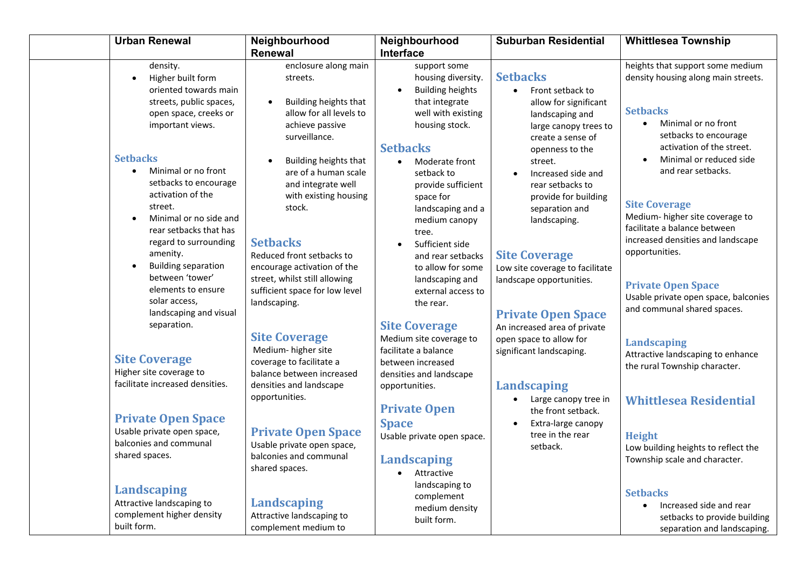|                              | <b>Urban Renewal</b>                                                                              | Neighbourhood<br><b>Renewal</b>                                                                              | Neighbourhood<br><b>Interface</b>                                                                                       | <b>Suburban Residential</b>                                                                                             | <b>Whittlesea Township</b>                                                                                             |
|------------------------------|---------------------------------------------------------------------------------------------------|--------------------------------------------------------------------------------------------------------------|-------------------------------------------------------------------------------------------------------------------------|-------------------------------------------------------------------------------------------------------------------------|------------------------------------------------------------------------------------------------------------------------|
| $\bullet$                    | density.<br>Higher built form                                                                     | enclosure along main<br>streets.                                                                             | support some<br>housing diversity.                                                                                      | <b>Setbacks</b>                                                                                                         | heights that support some medium<br>density housing along main streets.                                                |
|                              | oriented towards main<br>streets, public spaces,<br>open space, creeks or<br>important views.     | Building heights that<br>$\bullet$<br>allow for all levels to<br>achieve passive<br>surveillance.            | <b>Building heights</b><br>that integrate<br>well with existing<br>housing stock.                                       | Front setback to<br>$\bullet$<br>allow for significant<br>landscaping and<br>large canopy trees to<br>create a sense of | <b>Setbacks</b><br>Minimal or no front<br>$\bullet$<br>setbacks to encourage<br>activation of the street.              |
| <b>Setbacks</b><br>$\bullet$ | Minimal or no front<br>setbacks to encourage                                                      | Building heights that<br>are of a human scale<br>and integrate well                                          | <b>Setbacks</b><br>Moderate front<br>setback to<br>provide sufficient                                                   | openness to the<br>street.<br>Increased side and<br>rear setbacks to                                                    | Minimal or reduced side<br>and rear setbacks.                                                                          |
|                              | activation of the<br>street.<br>Minimal or no side and<br>rear setbacks that has                  | with existing housing<br>stock.                                                                              | space for<br>landscaping and a<br>medium canopy<br>tree.                                                                | provide for building<br>separation and<br>landscaping.                                                                  | <b>Site Coverage</b><br>Medium-higher site coverage to<br>facilitate a balance between                                 |
| $\bullet$                    | regard to surrounding<br>amenity.<br><b>Building separation</b><br>between 'tower'                | <b>Setbacks</b><br>Reduced front setbacks to<br>encourage activation of the<br>street, whilst still allowing | Sufficient side<br>and rear setbacks<br>to allow for some                                                               | <b>Site Coverage</b><br>Low site coverage to facilitate                                                                 | increased densities and landscape<br>opportunities.                                                                    |
|                              | elements to ensure<br>solar access,<br>landscaping and visual                                     | sufficient space for low level<br>landscaping.                                                               | landscaping and<br>external access to<br>the rear.                                                                      | landscape opportunities.<br><b>Private Open Space</b>                                                                   | <b>Private Open Space</b><br>Usable private open space, balconies<br>and communal shared spaces.                       |
|                              | separation.<br><b>Site Coverage</b><br>Higher site coverage to<br>facilitate increased densities. | <b>Site Coverage</b><br>Medium-higher site<br>coverage to facilitate a<br>balance between increased          | <b>Site Coverage</b><br>Medium site coverage to<br>facilitate a balance<br>between increased<br>densities and landscape | An increased area of private<br>open space to allow for<br>significant landscaping.                                     | <b>Landscaping</b><br>Attractive landscaping to enhance<br>the rural Township character.                               |
|                              | <b>Private Open Space</b>                                                                         | densities and landscape<br>opportunities.                                                                    | opportunities.<br><b>Private Open</b>                                                                                   | <b>Landscaping</b><br>Large canopy tree in<br>the front setback.                                                        | <b>Whittlesea Residential</b>                                                                                          |
|                              | Usable private open space,<br>balconies and communal<br>shared spaces.                            | <b>Private Open Space</b><br>Usable private open space,<br>balconies and communal<br>shared spaces.          | <b>Space</b><br>Usable private open space.<br>Landscaping<br>Attractive<br>$\bullet$                                    | Extra-large canopy<br>tree in the rear<br>setback.                                                                      | <b>Height</b><br>Low building heights to reflect the<br>Township scale and character.                                  |
| built form.                  | <b>Landscaping</b><br>Attractive landscaping to<br>complement higher density                      | <b>Landscaping</b><br>Attractive landscaping to<br>complement medium to                                      | landscaping to<br>complement<br>medium density<br>built form.                                                           |                                                                                                                         | <b>Setbacks</b><br>Increased side and rear<br>$\bullet$<br>setbacks to provide building<br>separation and landscaping. |